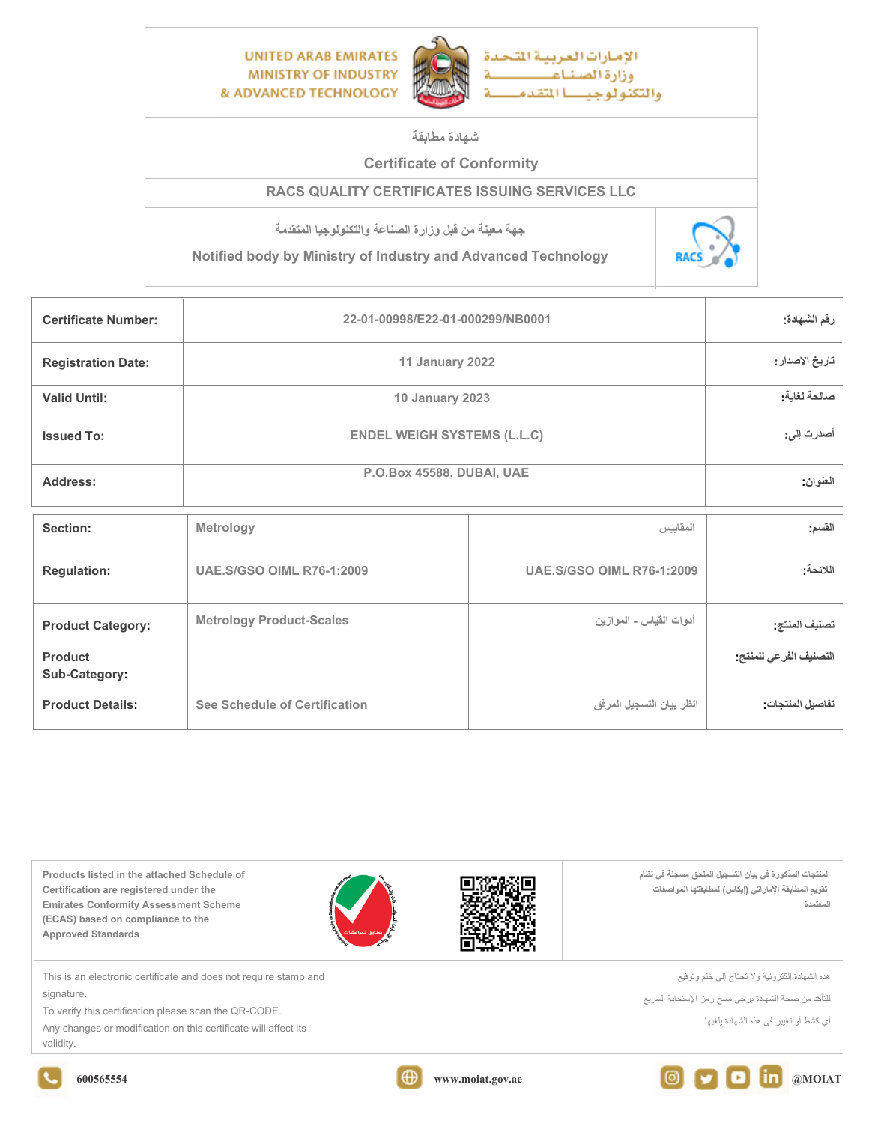

**شهادة مطابقة**

## **Certificate of Conformity**

## **RACS QUALITY CERTIFICATES ISSUING SERVICES LLC**

**جهة معينة من قبل وزارة الصناعة والتكنولوجيا المتقدمة**

**Notified body by Ministry of Industry and Advanced Technology** 



| <b>Certificate Number:</b> | 22-01-00998/E22-01-000299/NB0001   | رقم الشهادة:    |          |
|----------------------------|------------------------------------|-----------------|----------|
| <b>Registration Date:</b>  | 11 January 2022                    | تاريخ الاصدار : |          |
| <b>Valid Until:</b>        | <b>10 January 2023</b>             | صالحة لغاية:    |          |
| <b>Issued To:</b>          | <b>ENDEL WEIGH SYSTEMS (L.L.C)</b> | أصدرت إلى:      |          |
| Address:                   | P.O.Box 45588, DUBAI, UAE          |                 | العنوان: |
|                            |                                    |                 |          |
|                            | <b>Blatualawy</b>                  | $15 - 16$       | $-21$    |

| Section:                                                    | Metrology                        | المقاييس                         | القسم                 |
|-------------------------------------------------------------|----------------------------------|----------------------------------|-----------------------|
| <b>Regulation:</b>                                          | <b>UAE.S/GSO OIML R76-1:2009</b> | <b>UAE.S/GSO OIML R76-1:2009</b> | اللائحة:              |
| <b>Metrology Product-Scales</b><br><b>Product Category:</b> |                                  | أدوات القياس - الموازين          | تصنيف المنتج          |
| <b>Product</b><br>Sub-Category:                             |                                  |                                  | التصنيف الفرعي للمنتج |
| <b>Product Details:</b>                                     | See Schedule of Certification    | انظر بيان التسجيل المرفق         | تفاصيل المنتجات       |